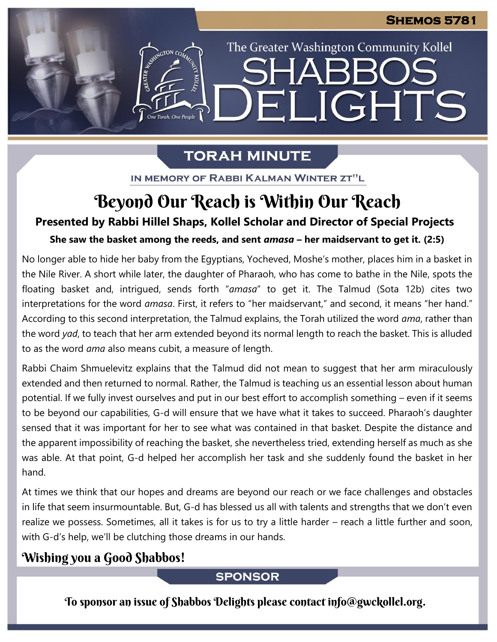The Greater Washington Community Kollel

ELIGHTS

# **TORAH MINUTE**

IN MEMORY OF RABBI KALMAN WINTER ZT"L

# Beyond Our Reach is Within Our Reach

### **Presented by Rabbi Hillel Shaps, Kollel Scholar and Director of Special Projects**

## **She saw the basket among the reeds, and sent** *amasa* **– her maidservant to get it. (2:5)**

No longer able to hide her baby from the Egyptians, Yocheved, Moshe's mother, places him in a basket in the Nile River. A short while later, the daughter of Pharaoh, who has come to bathe in the Nile, spots the floating basket and, intrigued, sends forth "*amasa*" to get it. The Talmud (Sota 12b) cites two interpretations for the word *amasa*. First, it refers to "her maidservant," and second, it means "her hand." According to this second interpretation, the Talmud explains, the Torah utilized the word *ama*, rather than the word *yad*, to teach that her arm extended beyond its normal length to reach the basket. This is alluded to as the word *ama* also means cubit, a measure of length.

Rabbi Chaim Shmuelevitz explains that the Talmud did not mean to suggest that her arm miraculously extended and then returned to normal. Rather, the Talmud is teaching us an essential lesson about human potential. If we fully invest ourselves and put in our best effort to accomplish something – even if it seems to be beyond our capabilities, G-d will ensure that we have what it takes to succeed. Pharaoh's daughter sensed that it was important for her to see what was contained in that basket. Despite the distance and the apparent impossibility of reaching the basket, she nevertheless tried, extending herself as much as she was able. At that point, G-d helped her accomplish her task and she suddenly found the basket in her hand.

At times we think that our hopes and dreams are beyond our reach or we face challenges and obstacles in life that seem insurmountable. But, G-d has blessed us all with talents and strengths that we don't even realize we possess. Sometimes, all it takes is for us to try a little harder – reach a little further and soon, with G-d's help, we'll be clutching those dreams in our hands.

## Wishing you a Good Shabbos!

### **SPONSOR**

To sponsor an issue of Shabbos Delights please contact info@gwckollel.org.